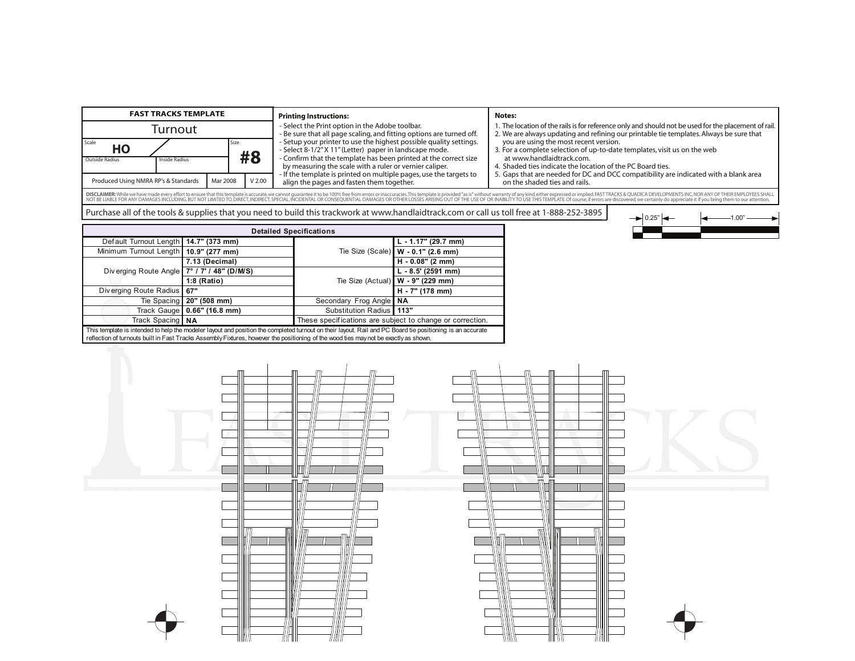

Purchase all of the tools & supplies that you need to build this trackwork at www.handlaidtrack.com or call us toll free at 1-888-252-3895

| <b>Detailed Specifications</b>                                                                                                                                                                                                                                                                    |                       |                                                           |                                         |
|---------------------------------------------------------------------------------------------------------------------------------------------------------------------------------------------------------------------------------------------------------------------------------------------------|-----------------------|-----------------------------------------------------------|-----------------------------------------|
| Default Turnout Length                                                                                                                                                                                                                                                                            | 14.7" (373 mm)        |                                                           | $L - 1.17$ " (29.7 mm)                  |
| Minimum Turnout Length                                                                                                                                                                                                                                                                            | 10.9" (277 mm)        |                                                           | Tie Size (Scale)   $W - 0.1$ " (2.6 mm) |
| Diverging Route Angle                                                                                                                                                                                                                                                                             | 7.13 (Decimal)        |                                                           | $H - 0.08" (2 mm)$                      |
|                                                                                                                                                                                                                                                                                                   | 7° / 7' / 48" (D/M/S) |                                                           | $L - 8.5'$ (2591 mm)                    |
|                                                                                                                                                                                                                                                                                                   | $1:8$ (Ratio)         |                                                           | Tie Size (Actual)   $W - 9"$ (229 mm)   |
| Diverging Route Radius                                                                                                                                                                                                                                                                            | 67"                   |                                                           | H - 7" (178 mm)                         |
| Tie Spacing                                                                                                                                                                                                                                                                                       | 20" (508 mm)          | Secondary Frog Angle                                      | <b>NA</b>                               |
| Track Gauge                                                                                                                                                                                                                                                                                       | $0.66"$ (16.8 mm)     | <b>Substitution Radius</b>                                | 113"                                    |
| Track Spacing   NA                                                                                                                                                                                                                                                                                |                       | These specifications are subject to change or correction. |                                         |
| This template is intended to help the modeler layout and position the completed turnout on their layout. Rail and PC Board tie positioning is an accurate<br>reflection of turnouts built in Fast Tracks Assembly Fixtures, however the positioning of the wood ties may not be exactly as shown. |                       |                                                           |                                         |





 $0.25"$   $\leftarrow$   $\leftarrow$   $1.00"$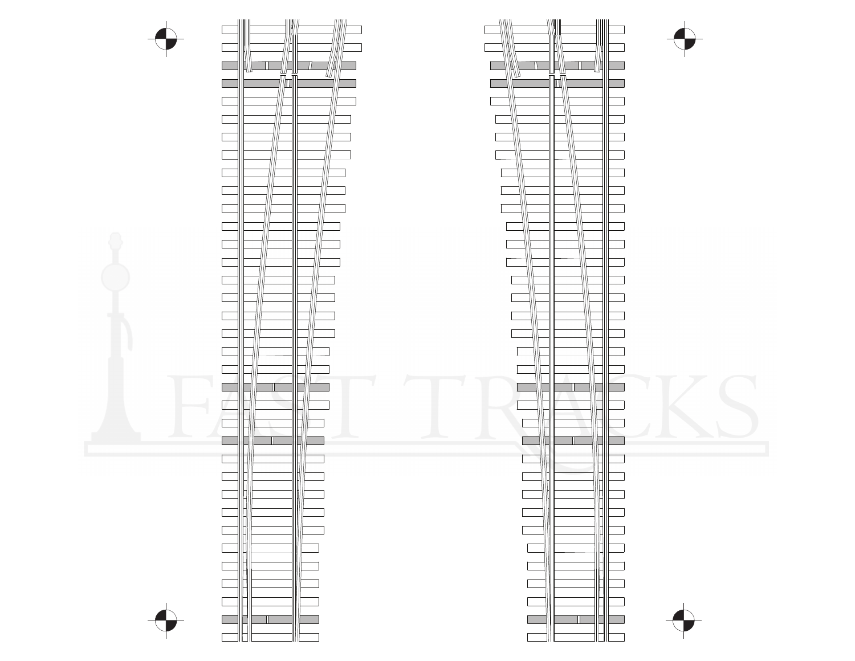